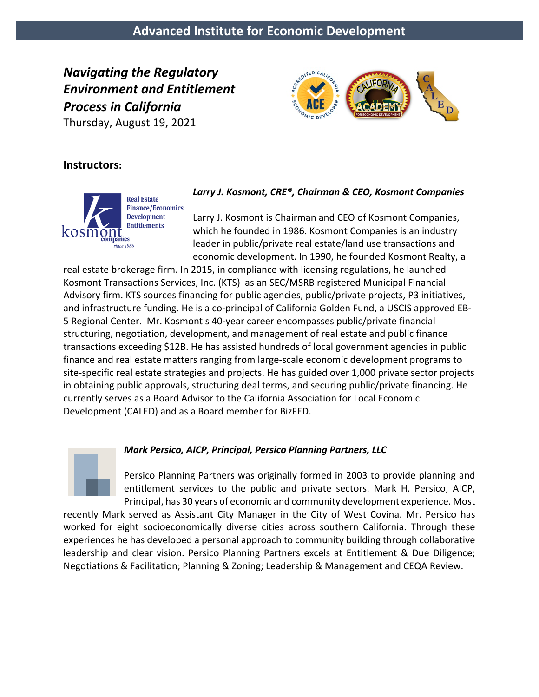# **Advanced Institute for Economic Development**

*Navigating the Regulatory Environment and Entitlement Process in California*  Thursday, August 19, 2021



#### **Instructors:**



*Larry J. Kosmont, CRE®, Chairman & CEO, Kosmont Companies*

Larry J. Kosmont is Chairman and CEO of Kosmont Companies, which he founded in 1986. Kosmont Companies is an industry leader in public/private real estate/land use transactions and economic development. In 1990, he founded Kosmont Realty, a

real estate brokerage firm. In 2015, in compliance with licensing regulations, he launched Kosmont Transactions Services, Inc. (KTS) as an SEC/MSRB registered Municipal Financial Advisory firm. KTS sources financing for public agencies, public/private projects, P3 initiatives, and infrastructure funding. He is a co-principal of California Golden Fund, a USCIS approved EB-5 Regional Center. Mr. Kosmont's 40-year career encompasses public/private financial structuring, negotiation, development, and management of real estate and public finance transactions exceeding \$12B. He has assisted hundreds of local government agencies in public finance and real estate matters ranging from large-scale economic development programs to site-specific real estate strategies and projects. He has guided over 1,000 private sector projects in obtaining public approvals, structuring deal terms, and securing public/private financing. He currently serves as a Board Advisor to the California Association for Local Economic Development (CALED) and as a Board member for BizFED.

#### *Mark Persico, AICP, Principal, Persico Planning Partners, LLC*



Persico Planning Partners was originally formed in 2003 to provide planning and entitlement services to the public and private sectors. Mark H. Persico, AICP, Principal, has 30 years of economic and community development experience. Most

recently Mark served as Assistant City Manager in the City of West Covina. Mr. Persico has worked for eight socioeconomically diverse cities across southern California. Through these experiences he has developed a personal approach to community building through collaborative leadership and clear vision. Persico Planning Partners excels at Entitlement & Due Diligence; Negotiations & Facilitation; Planning & Zoning; Leadership & Management and CEQA Review.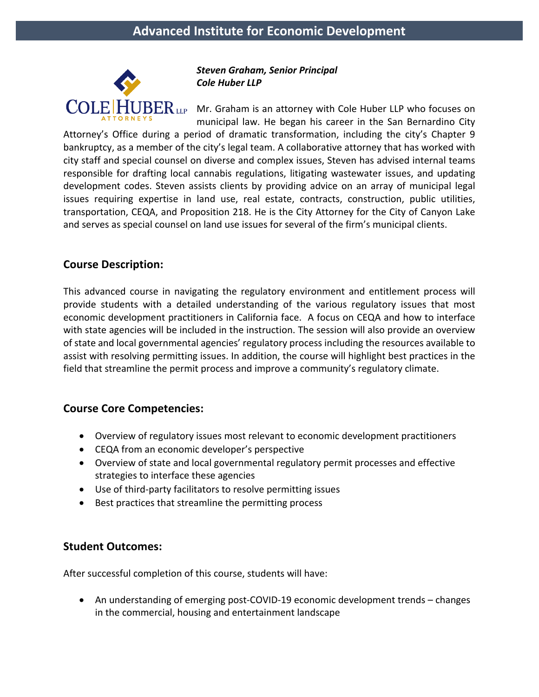

*Steven Graham, Senior Principal Cole Huber LLP*

Mr. Graham is an attorney with Cole Huber LLP who focuses on municipal law. He began his career in the San Bernardino City

Attorney's Office during a period of dramatic transformation, including the city's Chapter 9 bankruptcy, as a member of the city's legal team. A collaborative attorney that has worked with city staff and special counsel on diverse and complex issues, Steven has advised internal teams responsible for drafting local cannabis regulations, litigating wastewater issues, and updating development codes. Steven assists clients by providing advice on an array of municipal legal issues requiring expertise in land use, real estate, contracts, construction, public utilities, transportation, CEQA, and Proposition 218. He is the City Attorney for the City of Canyon Lake and serves as special counsel on land use issues for several of the firm's municipal clients.

### **Course Description:**

This advanced course in navigating the regulatory environment and entitlement process will provide students with a detailed understanding of the various regulatory issues that most economic development practitioners in California face. A focus on CEQA and how to interface with state agencies will be included in the instruction. The session will also provide an overview of state and local governmental agencies' regulatory process including the resources available to assist with resolving permitting issues. In addition, the course will highlight best practices in the field that streamline the permit process and improve a community's regulatory climate.

#### **Course Core Competencies:**

- Overview of regulatory issues most relevant to economic development practitioners
- CEQA from an economic developer's perspective
- Overview of state and local governmental regulatory permit processes and effective strategies to interface these agencies
- Use of third-party facilitators to resolve permitting issues
- Best practices that streamline the permitting process

## **Student Outcomes:**

After successful completion of this course, students will have:

• An understanding of emerging post-COVID-19 economic development trends – changes in the commercial, housing and entertainment landscape